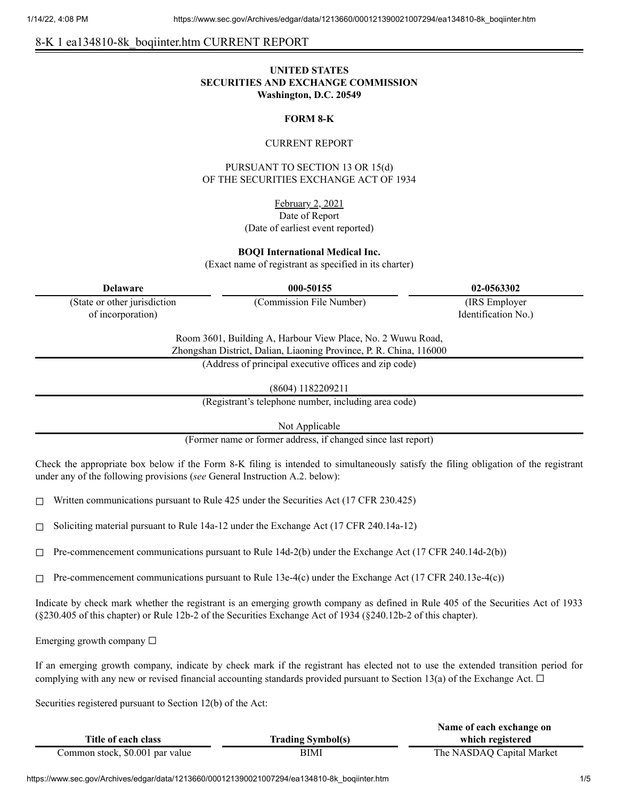# 8-K 1 ea134810-8k\_boqiinter.htm CURRENT REPORT

### **UNITED STATES SECURITIES AND EXCHANGE COMMISSION Washington, D.C. 20549**

### **FORM 8-K**

### CURRENT REPORT

PURSUANT TO SECTION 13 OR 15(d) OF THE SECURITIES EXCHANGE ACT OF 1934

> February 2, 2021 Date of Report (Date of earliest event reported)

**BOQI International Medical Inc.**

(Exact name of registrant as specified in its charter)

(State or other jurisdiction of incorporation)

**Delaware 000-50155 02-0563302**

(Commission File Number) (IRS Employer Identification No.)

Room 3601, Building A, Harbour View Place, No. 2 Wuwu Road, Zhongshan District, Dalian, Liaoning Province, P. R. China, 116000

(Address of principal executive offices and zip code)

(8604) 1182209211

(Registrant's telephone number, including area code)

Not Applicable

(Former name or former address, if changed since last report)

Check the appropriate box below if the Form 8-K filing is intended to simultaneously satisfy the filing obligation of the registrant under any of the following provisions (*see* General Instruction A.2. below):

 $\Box$  Written communications pursuant to Rule 425 under the Securities Act (17 CFR 230.425)

☐ Soliciting material pursuant to Rule 14a-12 under the Exchange Act (17 CFR 240.14a-12)

 $\Box$  Pre-commencement communications pursuant to Rule 14d-2(b) under the Exchange Act (17 CFR 240.14d-2(b))

 $\Box$  Pre-commencement communications pursuant to Rule 13e-4(c) under the Exchange Act (17 CFR 240.13e-4(c))

Indicate by check mark whether the registrant is an emerging growth company as defined in Rule 405 of the Securities Act of 1933 (§230.405 of this chapter) or Rule 12b-2 of the Securities Exchange Act of 1934 (§240.12b-2 of this chapter).

Emerging growth company  $\Box$ 

If an emerging growth company, indicate by check mark if the registrant has elected not to use the extended transition period for complying with any new or revised financial accounting standards provided pursuant to Section 13(a) of the Exchange Act.  $\Box$ 

Securities registered pursuant to Section 12(b) of the Act:

|                                 |                          | Name of each exchange on  |
|---------------------------------|--------------------------|---------------------------|
| Title of each class             | <b>Trading Symbol(s)</b> | which registered          |
| Common stock, \$0.001 par value | BIMI                     | The NASDAQ Capital Market |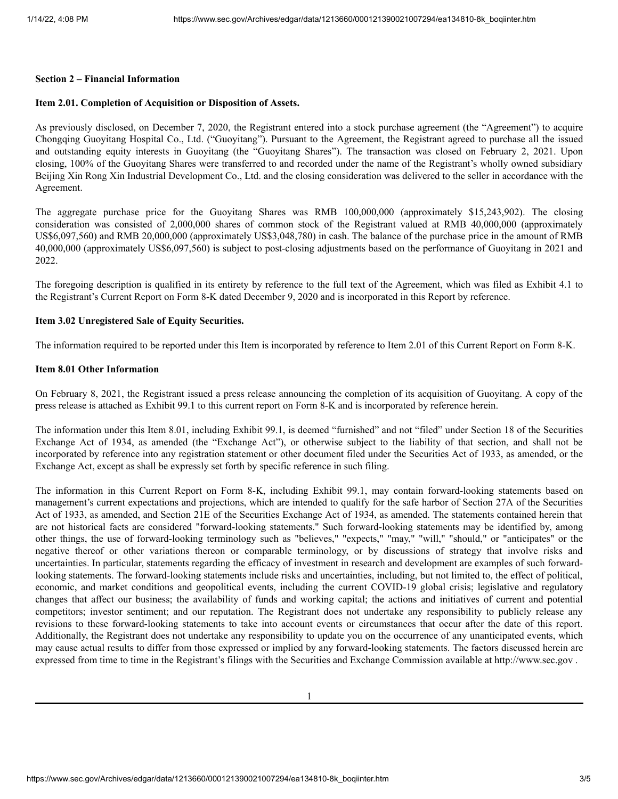#### **Section 2 – Financial Information**

# **Item 2.01. Completion of Acquisition or Disposition of Assets.**

As previously disclosed, on December 7, 2020, the Registrant entered into a stock purchase agreement (the "Agreement") to acquire Chongqing Guoyitang Hospital Co., Ltd. ("Guoyitang"). Pursuant to the Agreement, the Registrant agreed to purchase all the issued and outstanding equity interests in Guoyitang (the "Guoyitang Shares"). The transaction was closed on February 2, 2021. Upon closing, 100% of the Guoyitang Shares were transferred to and recorded under the name of the Registrant's wholly owned subsidiary Beijing Xin Rong Xin Industrial Development Co., Ltd. and the closing consideration was delivered to the seller in accordance with the Agreement.

The aggregate purchase price for the Guoyitang Shares was RMB 100,000,000 (approximately \$15,243,902). The closing consideration was consisted of 2,000,000 shares of common stock of the Registrant valued at RMB 40,000,000 (approximately US\$6,097,560) and RMB 20,000,000 (approximately US\$3,048,780) in cash. The balance of the purchase price in the amount of RMB 40,000,000 (approximately US\$6,097,560) is subject to post-closing adjustments based on the performance of Guoyitang in 2021 and 2022.

The foregoing description is qualified in its entirety by reference to the full text of the Agreement, which was filed as Exhibit 4.1 to the Registrant's Current Report on Form 8-K dated December 9, 2020 and is incorporated in this Report by reference.

### **Item 3.02 Unregistered Sale of Equity Securities.**

The information required to be reported under this Item is incorporated by reference to Item 2.01 of this Current Report on Form 8-K.

#### **Item 8.01 Other Information**

On February 8, 2021, the Registrant issued a press release announcing the completion of its acquisition of Guoyitang. A copy of the press release is attached as Exhibit 99.1 to this current report on Form 8-K and is incorporated by reference herein.

The information under this Item 8.01, including Exhibit 99.1, is deemed "furnished" and not "filed" under Section 18 of the Securities Exchange Act of 1934, as amended (the "Exchange Act"), or otherwise subject to the liability of that section, and shall not be incorporated by reference into any registration statement or other document filed under the Securities Act of 1933, as amended, or the Exchange Act, except as shall be expressly set forth by specific reference in such filing.

The information in this Current Report on Form 8-K, including Exhibit 99.1, may contain forward-looking statements based on management's current expectations and projections, which are intended to qualify for the safe harbor of Section 27A of the Securities Act of 1933, as amended, and Section 21E of the Securities Exchange Act of 1934, as amended. The statements contained herein that are not historical facts are considered "forward-looking statements." Such forward-looking statements may be identified by, among other things, the use of forward-looking terminology such as "believes," "expects," "may," "will," "should," or "anticipates" or the negative thereof or other variations thereon or comparable terminology, or by discussions of strategy that involve risks and uncertainties. In particular, statements regarding the efficacy of investment in research and development are examples of such forwardlooking statements. The forward-looking statements include risks and uncertainties, including, but not limited to, the effect of political, economic, and market conditions and geopolitical events, including the current COVID-19 global crisis; legislative and regulatory changes that affect our business; the availability of funds and working capital; the actions and initiatives of current and potential competitors; investor sentiment; and our reputation. The Registrant does not undertake any responsibility to publicly release any revisions to these forward-looking statements to take into account events or circumstances that occur after the date of this report. Additionally, the Registrant does not undertake any responsibility to update you on the occurrence of any unanticipated events, which may cause actual results to differ from those expressed or implied by any forward-looking statements. The factors discussed herein are expressed from time to time in the Registrant's filings with the Securities and Exchange Commission available at http://www.sec.gov .

1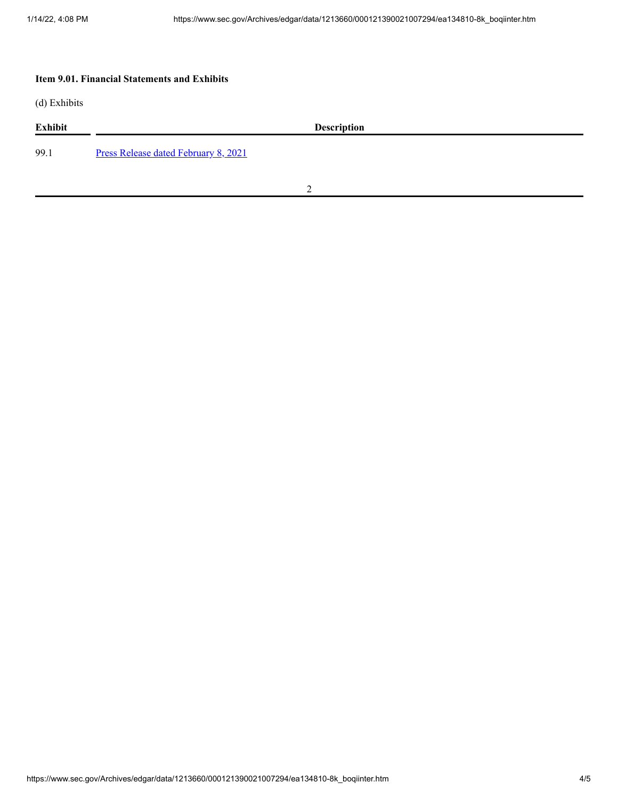## **Item 9.01. Financial Statements and Exhibits**

(d) Exhibits

| <b>Exhibit</b> | <b>Description</b>                          |
|----------------|---------------------------------------------|
| 99.1           | <b>Press Release dated February 8, 2021</b> |

2